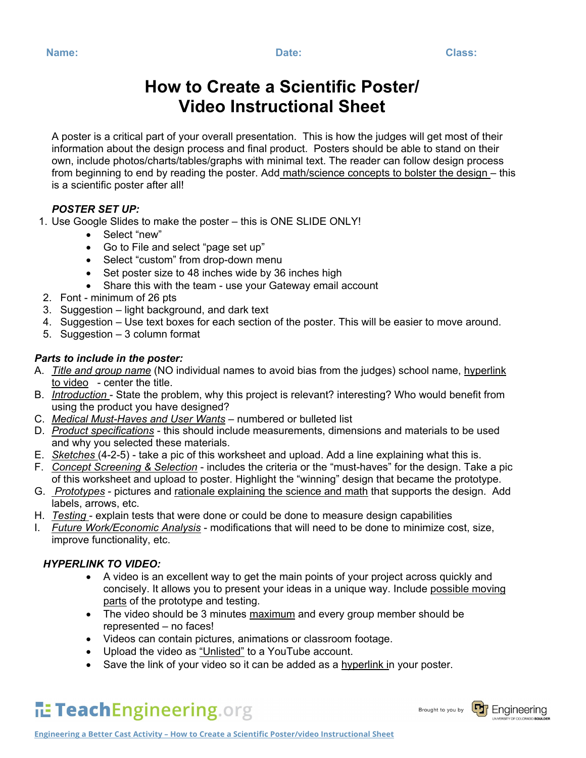# **How to Create a Scientific Poster/ Video Instructional Sheet**

A poster is a critical part of your overall presentation. This is how the judges will get most of their information about the design process and final product. Posters should be able to stand on their own, include photos/charts/tables/graphs with minimal text. The reader can follow design process from beginning to end by reading the poster. Add math/science concepts to bolster the design – this is a scientific poster after all!

# *POSTER SET UP:*

- 1. Use Google Slides to make the poster this is ONE SLIDE ONLY!
	- Select "new"
	- Go to File and select "page set up"
	- Select "custom" from drop-down menu
	- Set poster size to 48 inches wide by 36 inches high
	- Share this with the team use your Gateway email account
- 2. Font minimum of 26 pts
- 3. Suggestion light background, and dark text
- 4. Suggestion Use text boxes for each section of the poster. This will be easier to move around.
- 5. Suggestion 3 column format

# *Parts to include in the poster:*

- A. *Title and group name* (NO individual names to avoid bias from the judges) school name, hyperlink to video - center the title.
- B. *Introduction* State the problem, why this project is relevant? interesting? Who would benefit from using the product you have designed?
- C. *Medical Must-Haves and User Wants* numbered or bulleted list
- D. *Product specifications* this should include measurements, dimensions and materials to be used and why you selected these materials.
- E. *Sketches* (4-2-5) take a pic of this worksheet and upload. Add a line explaining what this is.
- F. *Concept Screening & Selection* includes the criteria or the "must-haves" for the design. Take a pic of this worksheet and upload to poster. Highlight the "winning" design that became the prototype.
- G. *Prototypes* pictures and rationale explaining the science and math that supports the design. Add labels, arrows, etc.
- H. *Testing* explain tests that were done or could be done to measure design capabilities
- I. *Future Work/Economic Analysis* modifications that will need to be done to minimize cost, size, improve functionality, etc.

# *HYPERLINK TO VIDEO:*

- A video is an excellent way to get the main points of your project across quickly and concisely. It allows you to present your ideas in a unique way. Include possible moving parts of the prototype and testing.
- The video should be 3 minutes maximum and every group member should be represented – no faces!
- Videos can contain pictures, animations or classroom footage.
- Upload the video as "Unlisted" to a YouTube account.
- Save the link of your video so it can be added as a hyperlink in your poster.

# TeachEngineering.org

Brought to you by